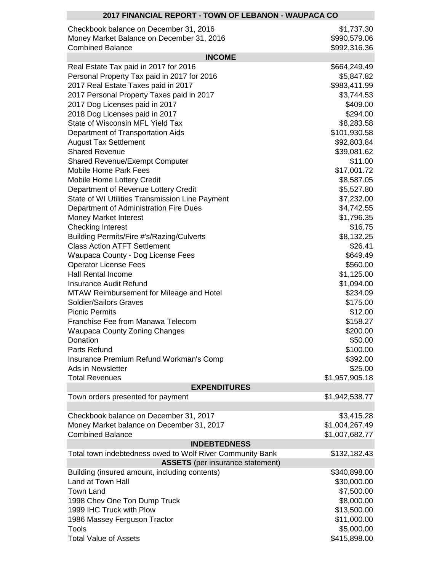| 2017 FINANCIAL REPORT - TOWN OF LEBANON - WAUPACA CO                             |                      |  |  |
|----------------------------------------------------------------------------------|----------------------|--|--|
| Checkbook balance on December 31, 2016                                           | \$1,737.30           |  |  |
| Money Market Balance on December 31, 2016                                        | \$990,579.06         |  |  |
| <b>Combined Balance</b>                                                          | \$992,316.36         |  |  |
| <b>INCOME</b>                                                                    |                      |  |  |
| Real Estate Tax paid in 2017 for 2016                                            | \$664,249.49         |  |  |
| Personal Property Tax paid in 2017 for 2016                                      | \$5,847.82           |  |  |
| 2017 Real Estate Taxes paid in 2017                                              | \$983,411.99         |  |  |
| 2017 Personal Property Taxes paid in 2017                                        | \$3,744.53           |  |  |
| 2017 Dog Licenses paid in 2017                                                   | \$409.00             |  |  |
| 2018 Dog Licenses paid in 2017                                                   | \$294.00             |  |  |
| State of Wisconsin MFL Yield Tax                                                 | \$8,283.58           |  |  |
| Department of Transportation Aids                                                | \$101,930.58         |  |  |
| <b>August Tax Settlement</b>                                                     | \$92,803.84          |  |  |
| <b>Shared Revenue</b>                                                            | \$39,081.62          |  |  |
| <b>Shared Revenue/Exempt Computer</b>                                            | \$11.00              |  |  |
| <b>Mobile Home Park Fees</b>                                                     | \$17,001.72          |  |  |
| Mobile Home Lottery Credit                                                       | \$8,587.05           |  |  |
| Department of Revenue Lottery Credit                                             | \$5,527.80           |  |  |
| State of WI Utilities Transmission Line Payment                                  | \$7,232.00           |  |  |
| Department of Administration Fire Dues                                           | \$4,742.55           |  |  |
| Money Market Interest                                                            | \$1,796.35           |  |  |
| <b>Checking Interest</b>                                                         | \$16.75              |  |  |
| Building Permits/Fire #'s/Razing/Culverts                                        | \$8,132.25           |  |  |
| <b>Class Action ATFT Settlement</b>                                              | \$26.41              |  |  |
| Waupaca County - Dog License Fees                                                | \$649.49             |  |  |
| <b>Operator License Fees</b>                                                     | \$560.00             |  |  |
| <b>Hall Rental Income</b><br><b>Insurance Audit Refund</b>                       | \$1,125.00           |  |  |
|                                                                                  | \$1,094.00           |  |  |
| <b>MTAW Reimbursement for Mileage and Hotel</b><br><b>Soldier/Sailors Graves</b> | \$234.09<br>\$175.00 |  |  |
| <b>Picnic Permits</b>                                                            | \$12.00              |  |  |
| Franchise Fee from Manawa Telecom                                                | \$158.27             |  |  |
| <b>Waupaca County Zoning Changes</b>                                             | \$200.00             |  |  |
| Donation                                                                         | \$50.00              |  |  |
| Parts Refund                                                                     | \$100.00             |  |  |
| Insurance Premium Refund Workman's Comp                                          | \$392.00             |  |  |
| Ads in Newsletter                                                                | \$25.00              |  |  |
| <b>Total Revenues</b>                                                            | \$1,957,905.18       |  |  |
| <b>EXPENDITURES</b>                                                              |                      |  |  |
| Town orders presented for payment                                                | \$1,942,538.77       |  |  |
|                                                                                  |                      |  |  |
| Checkbook balance on December 31, 2017                                           | \$3,415.28           |  |  |
| Money Market balance on December 31, 2017                                        | \$1,004,267.49       |  |  |
| <b>Combined Balance</b>                                                          | \$1,007,682.77       |  |  |
| <b>INDEBTEDNESS</b>                                                              |                      |  |  |
| Total town indebtedness owed to Wolf River Community Bank                        | \$132,182.43         |  |  |
| <b>ASSETS</b> (per insurance statement)                                          |                      |  |  |
| Building (insured amount, including contents)                                    | \$340,898.00         |  |  |
| Land at Town Hall                                                                | \$30,000.00          |  |  |
| <b>Town Land</b>                                                                 | \$7,500.00           |  |  |
| 1998 Chev One Ton Dump Truck                                                     | \$8,000.00           |  |  |
| 1999 IHC Truck with Plow                                                         | \$13,500.00          |  |  |
| 1986 Massey Ferguson Tractor                                                     | \$11,000.00          |  |  |
| <b>Tools</b>                                                                     | \$5,000.00           |  |  |
| <b>Total Value of Assets</b>                                                     | \$415,898.00         |  |  |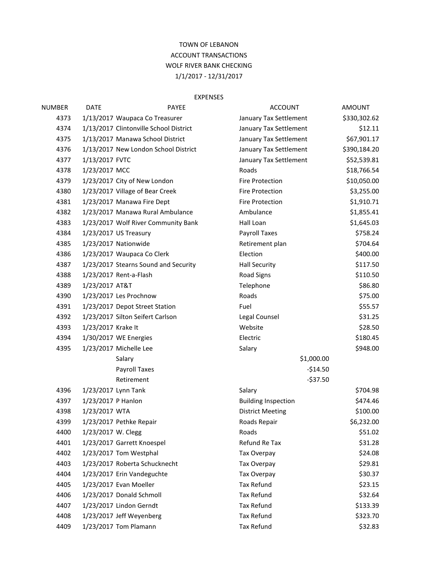## TOWN OF LEBANON ACCOUNT TRANSACTIONS WOLF RIVER BANK CHECKING 1/1/2017 - 12/31/2017

## EXPENSES

| <b>NUMBER</b> | <b>DATE</b>        | <b>PAYEE</b>                           | <b>ACCOUNT</b>             | <b>AMOUNT</b> |
|---------------|--------------------|----------------------------------------|----------------------------|---------------|
| 4373          |                    | 1/13/2017 Waupaca Co Treasurer         | January Tax Settlement     | \$330,302.62  |
| 4374          |                    | 1/13/2017 Clintonville School District | January Tax Settlement     | \$12.11       |
| 4375          |                    | 1/13/2017 Manawa School District       | January Tax Settlement     | \$67,901.17   |
| 4376          |                    | 1/13/2017 New London School District   | January Tax Settlement     | \$390,184.20  |
| 4377          | 1/13/2017 FVTC     |                                        | January Tax Settlement     | \$52,539.81   |
| 4378          | 1/23/2017 MCC      |                                        | Roads                      | \$18,766.54   |
| 4379          |                    | 1/23/2017 City of New London           | Fire Protection            | \$10,050.00   |
| 4380          |                    | 1/23/2017 Village of Bear Creek        | <b>Fire Protection</b>     | \$3,255.00    |
| 4381          |                    | 1/23/2017 Manawa Fire Dept             | Fire Protection            | \$1,910.71    |
| 4382          |                    | 1/23/2017 Manawa Rural Ambulance       | Ambulance                  | \$1,855.41    |
| 4383          |                    | 1/23/2017 Wolf River Community Bank    | Hall Loan                  | \$1,645.03    |
| 4384          |                    | 1/23/2017 US Treasury                  | Payroll Taxes              | \$758.24      |
| 4385          |                    | 1/23/2017 Nationwide                   | Retirement plan            | \$704.64      |
| 4386          |                    | 1/23/2017 Waupaca Co Clerk             | Election                   | \$400.00      |
| 4387          |                    | 1/23/2017 Stearns Sound and Security   | <b>Hall Security</b>       | \$117.50      |
| 4388          |                    | 1/23/2017 Rent-a-Flash                 | <b>Road Signs</b>          | \$110.50      |
| 4389          | 1/23/2017 AT&T     |                                        | Telephone                  | \$86.80       |
| 4390          |                    | 1/23/2017 Les Prochnow                 | Roads                      | \$75.00       |
| 4391          |                    | 1/23/2017 Depot Street Station         | Fuel                       | \$55.57       |
| 4392          |                    | 1/23/2017 Silton Seifert Carlson       | Legal Counsel              | \$31.25       |
| 4393          | 1/23/2017 Krake It |                                        | Website                    | \$28.50       |
| 4394          |                    | 1/30/2017 WE Energies                  | Electric                   | \$180.45      |
| 4395          |                    | 1/23/2017 Michelle Lee                 | Salary                     | \$948.00      |
|               |                    | Salary                                 | \$1,000.00                 |               |
|               |                    | Payroll Taxes                          | $-$14.50$                  |               |
|               |                    | Retirement                             | $-537.50$                  |               |
| 4396          |                    | 1/23/2017 Lynn Tank                    | Salary                     | \$704.98      |
| 4397          | 1/23/2017 P Hanlon |                                        | <b>Building Inspection</b> | \$474.46      |
| 4398          | 1/23/2017 WTA      |                                        | <b>District Meeting</b>    | \$100.00      |
| 4399          |                    | 1/23/2017 Pethke Repair                | Roads Repair               | \$6,232.00    |
| 4400          | 1/23/2017 W. Clegg |                                        | Roads                      | \$51.02       |
| 4401          |                    | 1/23/2017 Garrett Knoespel             | Refund Re Tax              | \$31.28       |
| 4402          |                    | 1/23/2017 Tom Westphal                 | Tax Overpay                | \$24.08       |
| 4403          |                    | 1/23/2017 Roberta Schucknecht          | Tax Overpay                | \$29.81       |
| 4404          |                    | 1/23/2017 Erin Vandeguchte             | Tax Overpay                | \$30.37       |
| 4405          |                    | 1/23/2017 Evan Moeller                 | Tax Refund                 | \$23.15       |
| 4406          |                    | 1/23/2017 Donald Schmoll               | <b>Tax Refund</b>          | \$32.64       |
| 4407          |                    | 1/23/2017 Lindon Gerndt                | <b>Tax Refund</b>          | \$133.39      |
| 4408          |                    | 1/23/2017 Jeff Weyenberg               | Tax Refund                 | \$323.70      |
| 4409          |                    | 1/23/2017 Tom Plamann                  | Tax Refund                 | \$32.83       |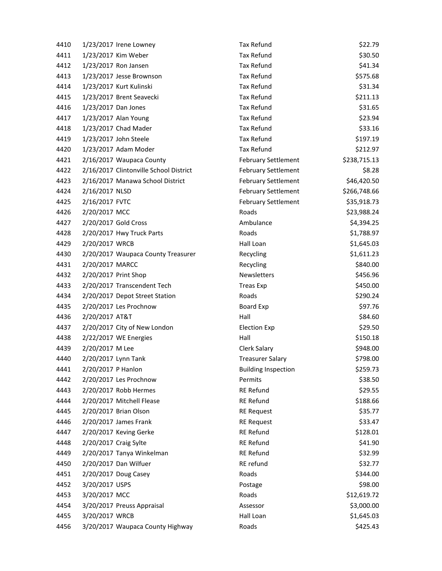| 4410 | 1/23/2017 Irene Lowney                 | <b>Tax Refund</b>          | \$22.79      |
|------|----------------------------------------|----------------------------|--------------|
| 4411 | 1/23/2017 Kim Weber                    | <b>Tax Refund</b>          | \$30.50      |
| 4412 | 1/23/2017 Ron Jansen                   | <b>Tax Refund</b>          | \$41.34      |
| 4413 | 1/23/2017 Jesse Brownson               | Tax Refund                 | \$575.68     |
| 4414 | 1/23/2017 Kurt Kulinski                | <b>Tax Refund</b>          | \$31.34      |
| 4415 | 1/23/2017 Brent Seavecki               | Tax Refund                 | \$211.13     |
| 4416 | 1/23/2017 Dan Jones                    | <b>Tax Refund</b>          | \$31.65      |
| 4417 | 1/23/2017 Alan Young                   | Tax Refund                 | \$23.94      |
| 4418 | 1/23/2017 Chad Mader                   | <b>Tax Refund</b>          | \$33.16      |
| 4419 | 1/23/2017 John Steele                  | <b>Tax Refund</b>          | \$197.19     |
| 4420 | 1/23/2017 Adam Moder                   | <b>Tax Refund</b>          | \$212.97     |
| 4421 | 2/16/2017 Waupaca County               | <b>February Settlement</b> | \$238,715.13 |
| 4422 | 2/16/2017 Clintonville School District | <b>February Settlement</b> | \$8.28       |
| 4423 | 2/16/2017 Manawa School District       | <b>February Settlement</b> | \$46,420.50  |
| 4424 | 2/16/2017 NLSD                         | <b>February Settlement</b> | \$266,748.66 |
| 4425 | 2/16/2017 FVTC                         | <b>February Settlement</b> | \$35,918.73  |
| 4426 | 2/20/2017 MCC                          | Roads                      | \$23,988.24  |
| 4427 | 2/20/2017 Gold Cross                   | Ambulance                  | \$4,394.25   |
| 4428 | 2/20/2017 Hwy Truck Parts              | Roads                      | \$1,788.97   |
| 4429 | 2/20/2017 WRCB                         | Hall Loan                  | \$1,645.03   |
| 4430 | 2/20/2017 Waupaca County Treasurer     | Recycling                  | \$1,611.23   |
| 4431 | 2/20/2017 MARCC                        | Recycling                  | \$840.00     |
| 4432 | 2/20/2017 Print Shop                   | Newsletters                | \$456.96     |
| 4433 | 2/20/2017 Transcendent Tech            | <b>Treas Exp</b>           | \$450.00     |
| 4434 | 2/20/2017 Depot Street Station         | Roads                      | \$290.24     |
| 4435 | 2/20/2017 Les Prochnow                 | <b>Board Exp</b>           | \$97.76      |
| 4436 | 2/20/2017 AT&T                         | Hall                       | \$84.60      |
| 4437 | 2/20/2017 City of New London           | <b>Election Exp</b>        | \$29.50      |
| 4438 | 2/22/2017 WE Energies                  | Hall                       | \$150.18     |
| 4439 | 2/20/2017 M Lee                        | <b>Clerk Salary</b>        | \$948.00     |
| 4440 | 2/20/2017 Lynn Tank                    | <b>Treasurer Salary</b>    | \$798.00     |
| 4441 | 2/20/2017 P Hanlon                     | <b>Building Inspection</b> | \$259.73     |
| 4442 | 2/20/2017 Les Prochnow                 | Permits                    | \$38.50      |
| 4443 | 2/20/2017 Robb Hermes                  | <b>RE Refund</b>           | \$29.55      |
| 4444 | 2/20/2017 Mitchell Flease              | <b>RE Refund</b>           | \$188.66     |
| 4445 | 2/20/2017 Brian Olson                  | <b>RE Request</b>          | \$35.77      |
| 4446 | 2/20/2017 James Frank                  | <b>RE Request</b>          | \$33.47      |
| 4447 | 2/20/2017 Keving Gerke                 | <b>RE Refund</b>           | \$128.01     |
| 4448 | 2/20/2017 Craig Sylte                  | <b>RE Refund</b>           | \$41.90      |
| 4449 | 2/20/2017 Tanya Winkelman              | <b>RE Refund</b>           | \$32.99      |
| 4450 | 2/20/2017 Dan Wilfuer                  | RE refund                  | \$32.77      |
| 4451 | 2/20/2017 Doug Casey                   | Roads                      | \$344.00     |
| 4452 | 3/20/2017 USPS                         | Postage                    | \$98.00      |
| 4453 | 3/20/2017 MCC                          | Roads                      | \$12,619.72  |
| 4454 | 3/20/2017 Preuss Appraisal             | Assessor                   | \$3,000.00   |
| 4455 | 3/20/2017 WRCB                         | Hall Loan                  | \$1,645.03   |
| 4456 | 3/20/2017 Waupaca County Highway       | Roads                      | \$425.43     |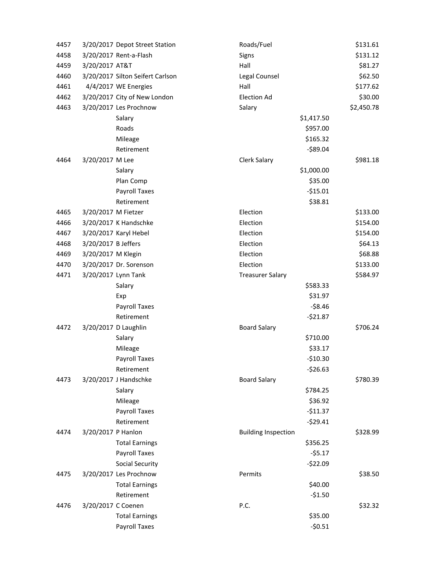| 4457 |                     | 3/20/2017 Depot Street Station   | Roads/Fuel                 |            | \$131.61   |
|------|---------------------|----------------------------------|----------------------------|------------|------------|
| 4458 |                     | 3/20/2017 Rent-a-Flash           | Signs                      |            | \$131.12   |
| 4459 | 3/20/2017 AT&T      |                                  | Hall                       |            | \$81.27    |
| 4460 |                     | 3/20/2017 Silton Seifert Carlson | Legal Counsel              |            | \$62.50    |
| 4461 |                     | 4/4/2017 WE Energies             | Hall                       |            | \$177.62   |
| 4462 |                     | 3/20/2017 City of New London     | <b>Election Ad</b>         |            | \$30.00    |
| 4463 |                     | 3/20/2017 Les Prochnow           | Salary                     |            | \$2,450.78 |
|      |                     | Salary                           |                            | \$1,417.50 |            |
|      |                     | Roads                            |                            | \$957.00   |            |
|      |                     | Mileage                          |                            | \$165.32   |            |
|      |                     | Retirement                       |                            | $-589.04$  |            |
| 4464 | 3/20/2017 M Lee     |                                  | Clerk Salary               |            | \$981.18   |
|      |                     | Salary                           |                            | \$1,000.00 |            |
|      |                     | Plan Comp                        |                            | \$35.00    |            |
|      |                     | Payroll Taxes                    |                            | $-$15.01$  |            |
|      |                     | Retirement                       |                            | \$38.81    |            |
| 4465 | 3/20/2017 M Fietzer |                                  | Election                   |            | \$133.00   |
| 4466 |                     | 3/20/2017 K Handschke            | Election                   |            | \$154.00   |
| 4467 |                     | 3/20/2017 Karyl Hebel            | Election                   |            | \$154.00   |
| 4468 | 3/20/2017 B Jeffers |                                  | Election                   |            | \$64.13    |
| 4469 | 3/20/2017 M Klegin  |                                  | Election                   |            | \$68.88    |
| 4470 |                     | 3/20/2017 Dr. Sorenson           | Election                   |            | \$133.00   |
| 4471 |                     | 3/20/2017 Lynn Tank              | <b>Treasurer Salary</b>    |            | \$584.97   |
|      |                     | Salary                           |                            | \$583.33   |            |
|      |                     | Exp                              |                            | \$31.97    |            |
|      |                     | Payroll Taxes                    |                            | $-58.46$   |            |
|      |                     | Retirement                       |                            | $-521.87$  |            |
| 4472 |                     | 3/20/2017 D Laughlin             | <b>Board Salary</b>        |            | \$706.24   |
|      |                     | Salary                           |                            | \$710.00   |            |
|      |                     | Mileage                          |                            | \$33.17    |            |
|      |                     | Payroll Taxes                    |                            | $-$10.30$  |            |
|      |                     | Retirement                       |                            | $-526.63$  |            |
| 4473 |                     | 3/20/2017 J Handschke            | <b>Board Salary</b>        |            | \$780.39   |
|      |                     | Salary                           |                            | \$784.25   |            |
|      |                     | Mileage                          |                            | \$36.92    |            |
|      |                     | Payroll Taxes                    |                            | $-511.37$  |            |
|      |                     | Retirement                       |                            | $-529.41$  |            |
| 4474 | 3/20/2017 P Hanlon  |                                  | <b>Building Inspection</b> |            | \$328.99   |
|      |                     | <b>Total Earnings</b>            |                            | \$356.25   |            |
|      |                     | Payroll Taxes                    |                            | $-55.17$   |            |
|      |                     | <b>Social Security</b>           |                            | $-522.09$  |            |
| 4475 |                     | 3/20/2017 Les Prochnow           | Permits                    |            | \$38.50    |
|      |                     | <b>Total Earnings</b>            |                            | \$40.00    |            |
|      |                     | Retirement                       |                            | $-51.50$   |            |
| 4476 | 3/20/2017 C Coenen  |                                  | P.C.                       |            | \$32.32    |
|      |                     | <b>Total Earnings</b>            |                            | \$35.00    |            |
|      |                     | Payroll Taxes                    |                            | $-50.51$   |            |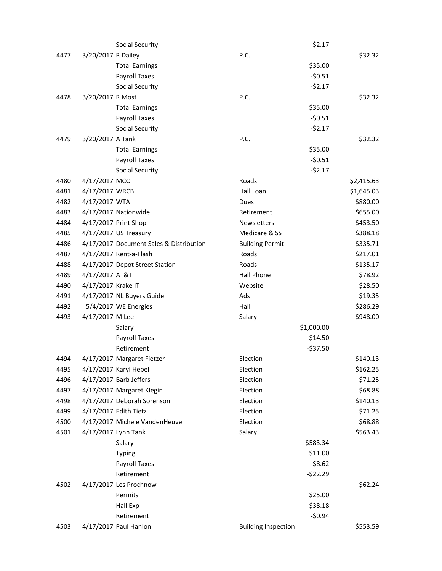|      |                    | <b>Social Security</b>                  |                            | $-52.17$   |            |
|------|--------------------|-----------------------------------------|----------------------------|------------|------------|
| 4477 | 3/20/2017 R Dailey |                                         | P.C.                       |            | \$32.32    |
|      |                    | <b>Total Earnings</b>                   |                            | \$35.00    |            |
|      |                    | Payroll Taxes                           |                            | $-50.51$   |            |
|      |                    | Social Security                         |                            | $-52.17$   |            |
| 4478 | 3/20/2017 R Most   |                                         | P.C.                       |            | \$32.32    |
|      |                    | <b>Total Earnings</b>                   |                            | \$35.00    |            |
|      |                    | Payroll Taxes                           |                            | $-50.51$   |            |
|      |                    | <b>Social Security</b>                  |                            | $-52.17$   |            |
| 4479 | 3/20/2017 A Tank   |                                         | P.C.                       |            | \$32.32    |
|      |                    | <b>Total Earnings</b>                   |                            | \$35.00    |            |
|      |                    | Payroll Taxes                           |                            | $-50.51$   |            |
|      |                    | <b>Social Security</b>                  |                            | $-52.17$   |            |
| 4480 | 4/17/2017 MCC      |                                         | Roads                      |            | \$2,415.63 |
| 4481 | 4/17/2017 WRCB     |                                         | Hall Loan                  |            | \$1,645.03 |
| 4482 | 4/17/2017 WTA      |                                         | Dues                       |            | \$880.00   |
| 4483 |                    | 4/17/2017 Nationwide                    | Retirement                 |            | \$655.00   |
| 4484 |                    | 4/17/2017 Print Shop                    | Newsletters                |            | \$453.50   |
| 4485 |                    | 4/17/2017 US Treasury                   | Medicare & SS              |            | \$388.18   |
| 4486 |                    | 4/17/2017 Document Sales & Distribution | <b>Building Permit</b>     |            | \$335.71   |
| 4487 |                    | 4/17/2017 Rent-a-Flash                  | Roads                      |            | \$217.01   |
| 4488 |                    | 4/17/2017 Depot Street Station          | Roads                      |            | \$135.17   |
| 4489 | 4/17/2017 AT&T     |                                         | <b>Hall Phone</b>          |            | \$78.92    |
| 4490 | 4/17/2017 Krake IT |                                         | Website                    |            | \$28.50    |
| 4491 |                    | 4/17/2017 NL Buyers Guide               | Ads                        |            | \$19.35    |
| 4492 |                    | 5/4/2017 WE Energies                    | Hall                       |            | \$286.29   |
| 4493 | 4/17/2017 M Lee    |                                         | Salary                     |            | \$948.00   |
|      |                    | Salary                                  |                            | \$1,000.00 |            |
|      |                    | Payroll Taxes                           |                            | $-$14.50$  |            |
|      |                    | Retirement                              |                            | $-537.50$  |            |
| 4494 |                    | 4/17/2017 Margaret Fietzer              | Election                   |            | \$140.13   |
| 4495 |                    | 4/17/2017 Karyl Hebel                   | Election                   |            | \$162.25   |
| 4496 |                    | 4/17/2017 Barb Jeffers                  | Election                   |            | \$71.25    |
| 4497 |                    | 4/17/2017 Margaret Klegin               | Election                   |            | \$68.88    |
| 4498 |                    | 4/17/2017 Deborah Sorenson              | Election                   |            | \$140.13   |
| 4499 |                    | 4/17/2017 Edith Tietz                   | Election                   |            | \$71.25    |
| 4500 |                    | 4/17/2017 Michele VandenHeuvel          | Election                   |            | \$68.88    |
| 4501 |                    | 4/17/2017 Lynn Tank                     | Salary                     |            | \$563.43   |
|      |                    | Salary                                  |                            | \$583.34   |            |
|      |                    | <b>Typing</b>                           |                            | \$11.00    |            |
|      |                    | Payroll Taxes                           |                            | $-58.62$   |            |
|      |                    | Retirement                              |                            | $-522.29$  |            |
| 4502 |                    | 4/17/2017 Les Prochnow                  |                            |            | \$62.24    |
|      |                    | Permits                                 |                            | \$25.00    |            |
|      |                    | Hall Exp                                |                            | \$38.18    |            |
|      |                    | Retirement                              |                            | $-50.94$   |            |
| 4503 |                    | 4/17/2017 Paul Hanlon                   | <b>Building Inspection</b> |            | \$553.59   |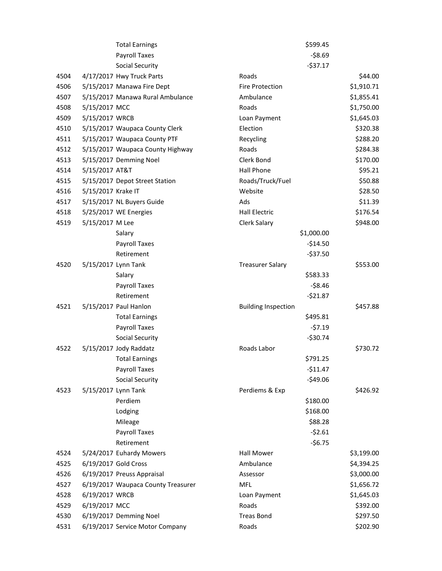|      |                    | <b>Total Earnings</b>              |                            | \$599.45   |            |
|------|--------------------|------------------------------------|----------------------------|------------|------------|
|      |                    | <b>Payroll Taxes</b>               |                            | $-58.69$   |            |
|      |                    | <b>Social Security</b>             |                            | $-537.17$  |            |
| 4504 |                    | 4/17/2017 Hwy Truck Parts          | Roads                      |            | \$44.00    |
| 4506 |                    | 5/15/2017 Manawa Fire Dept         | Fire Protection            |            | \$1,910.71 |
| 4507 |                    | 5/15/2017 Manawa Rural Ambulance   | Ambulance                  |            | \$1,855.41 |
| 4508 | 5/15/2017 MCC      |                                    | Roads                      |            | \$1,750.00 |
| 4509 | 5/15/2017 WRCB     |                                    | Loan Payment               |            | \$1,645.03 |
| 4510 |                    | 5/15/2017 Waupaca County Clerk     | Election                   |            | \$320.38   |
| 4511 |                    | 5/15/2017 Waupaca County PTF       | Recycling                  |            | \$288.20   |
| 4512 |                    | 5/15/2017 Waupaca County Highway   | Roads                      |            | \$284.38   |
| 4513 |                    | 5/15/2017 Demming Noel             | Clerk Bond                 |            | \$170.00   |
| 4514 | 5/15/2017 AT&T     |                                    | <b>Hall Phone</b>          |            | \$95.21    |
| 4515 |                    | 5/15/2017 Depot Street Station     | Roads/Truck/Fuel           |            | \$50.88    |
| 4516 | 5/15/2017 Krake IT |                                    | Website                    |            | \$28.50    |
| 4517 |                    | 5/15/2017 NL Buyers Guide          | Ads                        |            | \$11.39    |
| 4518 |                    | 5/25/2017 WE Energies              | Hall Electric              |            | \$176.54   |
| 4519 | 5/15/2017 M Lee    |                                    | Clerk Salary               |            | \$948.00   |
|      |                    | Salary                             |                            | \$1,000.00 |            |
|      |                    | Payroll Taxes                      |                            | $-514.50$  |            |
|      |                    | Retirement                         |                            | $-537.50$  |            |
| 4520 |                    | 5/15/2017 Lynn Tank                | <b>Treasurer Salary</b>    |            | \$553.00   |
|      |                    | Salary                             |                            | \$583.33   |            |
|      |                    | Payroll Taxes                      |                            | $-58.46$   |            |
|      |                    | Retirement                         |                            | $-521.87$  |            |
| 4521 |                    | 5/15/2017 Paul Hanlon              | <b>Building Inspection</b> |            | \$457.88   |
|      |                    | <b>Total Earnings</b>              |                            | \$495.81   |            |
|      |                    | Payroll Taxes                      |                            | $-57.19$   |            |
|      |                    | <b>Social Security</b>             |                            | $-530.74$  |            |
| 4522 |                    | 5/15/2017 Jody Raddatz             | Roads Labor                |            | \$730.72   |
|      |                    | <b>Total Earnings</b>              |                            | \$791.25   |            |
|      |                    | Payroll Taxes                      |                            | $-$11.47$  |            |
|      |                    | <b>Social Security</b>             |                            | $-549.06$  |            |
| 4523 |                    | 5/15/2017 Lynn Tank                | Perdiems & Exp             |            | \$426.92   |
|      |                    | Perdiem                            |                            | \$180.00   |            |
|      |                    | Lodging                            |                            | \$168.00   |            |
|      |                    | Mileage                            |                            | \$88.28    |            |
|      |                    | Payroll Taxes                      |                            | $-52.61$   |            |
|      |                    | Retirement                         |                            | $-56.75$   |            |
| 4524 |                    | 5/24/2017 Euhardy Mowers           | <b>Hall Mower</b>          |            | \$3,199.00 |
| 4525 |                    | 6/19/2017 Gold Cross               | Ambulance                  |            | \$4,394.25 |
| 4526 |                    | 6/19/2017 Preuss Appraisal         | Assessor                   |            | \$3,000.00 |
| 4527 |                    | 6/19/2017 Waupaca County Treasurer | <b>MFL</b>                 |            | \$1,656.72 |
| 4528 | 6/19/2017 WRCB     |                                    | Loan Payment               |            | \$1,645.03 |
| 4529 | 6/19/2017 MCC      |                                    | Roads                      |            | \$392.00   |
| 4530 |                    | 6/19/2017 Demming Noel             | <b>Treas Bond</b>          |            | \$297.50   |
| 4531 |                    | 6/19/2017 Service Motor Company    | Roads                      |            | \$202.90   |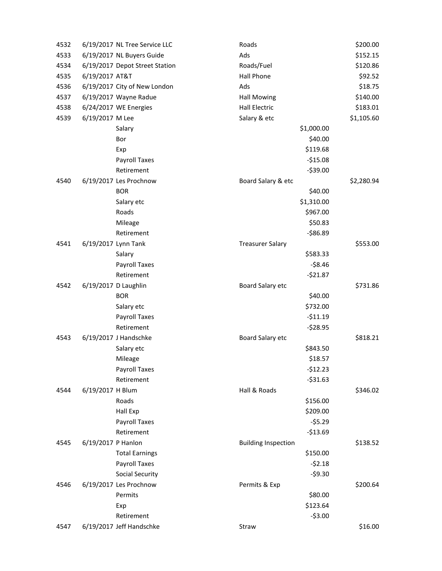| 4532 |                    | 6/19/2017 NL Tree Service LLC  | Roads                      |            | \$200.00   |
|------|--------------------|--------------------------------|----------------------------|------------|------------|
| 4533 |                    | 6/19/2017 NL Buyers Guide      | Ads                        |            | \$152.15   |
| 4534 |                    | 6/19/2017 Depot Street Station | Roads/Fuel                 |            | \$120.86   |
| 4535 | 6/19/2017 AT&T     |                                | Hall Phone                 |            | \$92.52    |
| 4536 |                    | 6/19/2017 City of New London   | Ads                        |            | \$18.75    |
| 4537 |                    | 6/19/2017 Wayne Radue          | <b>Hall Mowing</b>         |            | \$140.00   |
| 4538 |                    | 6/24/2017 WE Energies          | <b>Hall Electric</b>       |            | \$183.01   |
| 4539 | 6/19/2017 M Lee    |                                | Salary & etc               |            | \$1,105.60 |
|      |                    | Salary                         |                            | \$1,000.00 |            |
|      |                    | Bor                            |                            | \$40.00    |            |
|      |                    | Exp                            |                            | \$119.68   |            |
|      |                    | Payroll Taxes                  |                            | $-515.08$  |            |
|      |                    | Retirement                     |                            | $-539.00$  |            |
| 4540 |                    | 6/19/2017 Les Prochnow         | Board Salary & etc         |            | \$2,280.94 |
|      |                    | <b>BOR</b>                     |                            | \$40.00    |            |
|      |                    | Salary etc                     |                            | \$1,310.00 |            |
|      |                    | Roads                          |                            | \$967.00   |            |
|      |                    | Mileage                        |                            | \$50.83    |            |
|      |                    | Retirement                     |                            | $-586.89$  |            |
| 4541 |                    | 6/19/2017 Lynn Tank            | <b>Treasurer Salary</b>    |            | \$553.00   |
|      |                    | Salary                         |                            | \$583.33   |            |
|      |                    | Payroll Taxes                  |                            | $-58.46$   |            |
|      |                    | Retirement                     |                            | $-521.87$  |            |
| 4542 |                    | 6/19/2017 D Laughlin           | Board Salary etc           |            | \$731.86   |
|      |                    | <b>BOR</b>                     |                            | \$40.00    |            |
|      |                    | Salary etc                     |                            | \$732.00   |            |
|      |                    | Payroll Taxes                  |                            | $-511.19$  |            |
|      |                    | Retirement                     |                            | $-528.95$  |            |
| 4543 |                    | 6/19/2017 J Handschke          | Board Salary etc           |            | \$818.21   |
|      |                    | Salary etc                     |                            | \$843.50   |            |
|      |                    | Mileage                        |                            | \$18.57    |            |
|      |                    | <b>Payroll Taxes</b>           |                            | $-512.23$  |            |
|      |                    | Retirement                     |                            | $-531.63$  |            |
| 4544 | 6/19/2017 H Blum   |                                | Hall & Roads               |            | \$346.02   |
|      |                    | Roads                          |                            | \$156.00   |            |
|      |                    | Hall Exp                       |                            | \$209.00   |            |
|      |                    | Payroll Taxes                  |                            | $-55.29$   |            |
|      |                    | Retirement                     |                            | $-$13.69$  |            |
| 4545 | 6/19/2017 P Hanlon |                                | <b>Building Inspection</b> |            | \$138.52   |
|      |                    | <b>Total Earnings</b>          |                            | \$150.00   |            |
|      |                    | Payroll Taxes                  |                            | $-52.18$   |            |
|      |                    | <b>Social Security</b>         |                            | $-59.30$   |            |
| 4546 |                    | 6/19/2017 Les Prochnow         | Permits & Exp              |            | \$200.64   |
|      |                    | Permits                        |                            | \$80.00    |            |
|      |                    | Exp                            |                            | \$123.64   |            |
|      |                    | Retirement                     |                            | $-53.00$   |            |
| 4547 |                    | 6/19/2017 Jeff Handschke       | Straw                      |            | \$16.00    |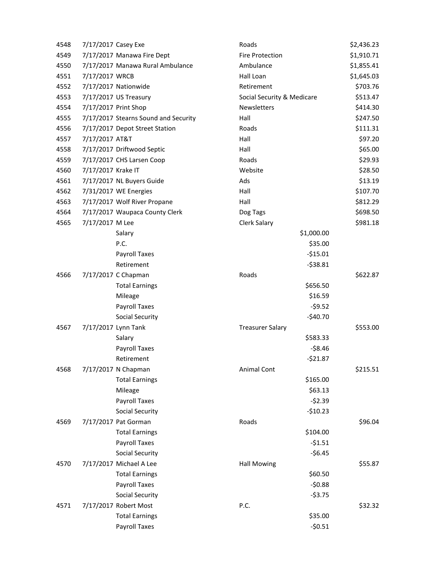| 4548 | 7/17/2017 Casey Exe |                                      | Roads                      | \$2,436.23 |
|------|---------------------|--------------------------------------|----------------------------|------------|
| 4549 |                     | 7/17/2017 Manawa Fire Dept           | <b>Fire Protection</b>     | \$1,910.71 |
| 4550 |                     | 7/17/2017 Manawa Rural Ambulance     | Ambulance                  | \$1,855.41 |
| 4551 | 7/17/2017 WRCB      |                                      | Hall Loan                  | \$1,645.03 |
| 4552 |                     | 7/17/2017 Nationwide                 | Retirement                 | \$703.76   |
| 4553 |                     | 7/17/2017 US Treasury                | Social Security & Medicare | \$513.47   |
| 4554 |                     | 7/17/2017 Print Shop                 | <b>Newsletters</b>         | \$414.30   |
| 4555 |                     | 7/17/2017 Stearns Sound and Security | Hall                       | \$247.50   |
| 4556 |                     | 7/17/2017 Depot Street Station       | Roads                      | \$111.31   |
| 4557 | 7/17/2017 AT&T      |                                      | Hall                       | \$97.20    |
| 4558 |                     | 7/17/2017 Driftwood Septic           | Hall                       | \$65.00    |
| 4559 |                     | 7/17/2017 CHS Larsen Coop            | Roads                      | \$29.93    |
| 4560 | 7/17/2017 Krake IT  |                                      | Website                    | \$28.50    |
| 4561 |                     | 7/17/2017 NL Buyers Guide            | Ads                        | \$13.19    |
| 4562 |                     | 7/31/2017 WE Energies                | Hall                       | \$107.70   |
| 4563 |                     | 7/17/2017 Wolf River Propane         | Hall                       | \$812.29   |
| 4564 |                     | 7/17/2017 Waupaca County Clerk       | Dog Tags                   | \$698.50   |
| 4565 | 7/17/2017 M Lee     |                                      | Clerk Salary               | \$981.18   |
|      |                     | Salary                               | \$1,000.00                 |            |
|      |                     | P.C.                                 | \$35.00                    |            |
|      |                     | Payroll Taxes                        | $-$15.01$                  |            |
|      |                     | Retirement                           | $-538.81$                  |            |
| 4566 |                     | 7/17/2017 C Chapman                  | Roads                      | \$622.87   |
|      |                     | <b>Total Earnings</b>                | \$656.50                   |            |
|      |                     | Mileage                              | \$16.59                    |            |
|      |                     | Payroll Taxes                        | $-59.52$                   |            |
|      |                     | <b>Social Security</b>               | $-$40.70$                  |            |
| 4567 | 7/17/2017 Lynn Tank |                                      | <b>Treasurer Salary</b>    | \$553.00   |
|      |                     | Salary                               | \$583.33                   |            |
|      |                     | Payroll Taxes                        | $-58.46$                   |            |
|      |                     | Retirement                           | $-521.87$                  |            |
| 4568 |                     | 7/17/2017 N Chapman                  | <b>Animal Cont</b>         | \$215.51   |
|      |                     | <b>Total Earnings</b>                | \$165.00                   |            |
|      |                     | Mileage                              | \$63.13                    |            |
|      |                     | Payroll Taxes                        | $-52.39$                   |            |
|      |                     | <b>Social Security</b>               | $-$10.23$                  |            |
| 4569 |                     | 7/17/2017 Pat Gorman                 | Roads                      | \$96.04    |
|      |                     | <b>Total Earnings</b>                | \$104.00                   |            |
|      |                     | Payroll Taxes                        | $-51.51$                   |            |
|      |                     | <b>Social Security</b>               | $-56.45$                   |            |
| 4570 |                     | 7/17/2017 Michael A Lee              | <b>Hall Mowing</b>         | \$55.87    |
|      |                     | <b>Total Earnings</b>                | \$60.50                    |            |
|      |                     | Payroll Taxes                        | $-50.88$                   |            |
|      |                     | <b>Social Security</b>               | $-53.75$                   |            |
| 4571 |                     | 7/17/2017 Robert Most                | P.C.                       | \$32.32    |
|      |                     | <b>Total Earnings</b>                | \$35.00                    |            |
|      |                     | <b>Payroll Taxes</b>                 | $-50.51$                   |            |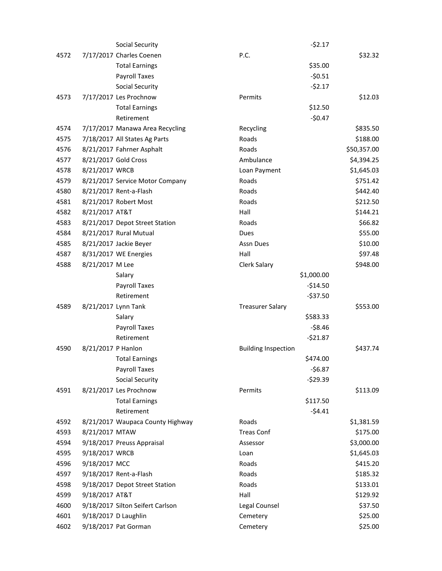|      |                    | <b>Social Security</b>           |                            | $-52.17$   |             |
|------|--------------------|----------------------------------|----------------------------|------------|-------------|
| 4572 |                    | 7/17/2017 Charles Coenen         | P.C.                       |            | \$32.32     |
|      |                    | <b>Total Earnings</b>            |                            | \$35.00    |             |
|      |                    | Payroll Taxes                    |                            | $-50.51$   |             |
|      |                    | <b>Social Security</b>           |                            | $-52.17$   |             |
| 4573 |                    | 7/17/2017 Les Prochnow           | Permits                    |            | \$12.03     |
|      |                    | <b>Total Earnings</b>            |                            | \$12.50    |             |
|      |                    | Retirement                       |                            | $-50.47$   |             |
| 4574 |                    | 7/17/2017 Manawa Area Recycling  | Recycling                  |            | \$835.50    |
| 4575 |                    | 7/18/2017 All States Ag Parts    | Roads                      |            | \$188.00    |
| 4576 |                    | 8/21/2017 Fahrner Asphalt        | Roads                      |            | \$50,357.00 |
| 4577 |                    | 8/21/2017 Gold Cross             | Ambulance                  |            | \$4,394.25  |
| 4578 | 8/21/2017 WRCB     |                                  | Loan Payment               |            | \$1,645.03  |
| 4579 |                    | 8/21/2017 Service Motor Company  | Roads                      |            | \$751.42    |
| 4580 |                    | 8/21/2017 Rent-a-Flash           | Roads                      |            | \$442.40    |
| 4581 |                    | 8/21/2017 Robert Most            | Roads                      |            | \$212.50    |
| 4582 | 8/21/2017 AT&T     |                                  | Hall                       |            | \$144.21    |
| 4583 |                    | 8/21/2017 Depot Street Station   | Roads                      |            | \$66.82     |
| 4584 |                    | 8/21/2017 Rural Mutual           | <b>Dues</b>                |            | \$55.00     |
| 4585 |                    | 8/21/2017 Jackie Beyer           | Assn Dues                  |            | \$10.00     |
| 4587 |                    | 8/31/2017 WE Energies            | Hall                       |            | \$97.48     |
| 4588 | 8/21/2017 M Lee    |                                  | Clerk Salary               |            | \$948.00    |
|      |                    | Salary                           |                            | \$1,000.00 |             |
|      |                    | Payroll Taxes                    |                            | $-514.50$  |             |
|      |                    | Retirement                       |                            | $-537.50$  |             |
| 4589 |                    | 8/21/2017 Lynn Tank              | <b>Treasurer Salary</b>    |            | \$553.00    |
|      |                    | Salary                           |                            | \$583.33   |             |
|      |                    | Payroll Taxes                    |                            | $-58.46$   |             |
|      |                    | Retirement                       |                            | $-521.87$  |             |
| 4590 | 8/21/2017 P Hanlon |                                  | <b>Building Inspection</b> |            | \$437.74    |
|      |                    | <b>Total Earnings</b>            |                            | \$474.00   |             |
|      |                    | Payroll Taxes                    |                            | $-56.87$   |             |
|      |                    | <b>Social Security</b>           |                            | $-529.39$  |             |
| 4591 |                    | 8/21/2017 Les Prochnow           | Permits                    |            | \$113.09    |
|      |                    | <b>Total Earnings</b>            |                            | \$117.50   |             |
|      |                    | Retirement                       |                            | $-54.41$   |             |
| 4592 |                    | 8/21/2017 Waupaca County Highway | Roads                      |            | \$1,381.59  |
| 4593 | 8/21/2017 MTAW     |                                  | <b>Treas Conf</b>          |            | \$175.00    |
| 4594 |                    | 9/18/2017 Preuss Appraisal       | Assessor                   |            | \$3,000.00  |
| 4595 | 9/18/2017 WRCB     |                                  | Loan                       |            | \$1,645.03  |
| 4596 | 9/18/2017 MCC      |                                  | Roads                      |            | \$415.20    |
| 4597 |                    | 9/18/2017 Rent-a-Flash           | Roads                      |            | \$185.32    |
| 4598 |                    | 9/18/2017 Depot Street Station   | Roads                      |            | \$133.01    |
| 4599 | 9/18/2017 AT&T     |                                  | Hall                       |            | \$129.92    |
| 4600 |                    | 9/18/2017 Silton Seifert Carlson | Legal Counsel              |            | \$37.50     |
| 4601 |                    | 9/18/2017 D Laughlin             | Cemetery                   |            | \$25.00     |
| 4602 |                    | 9/18/2017 Pat Gorman             | Cemetery                   |            | \$25.00     |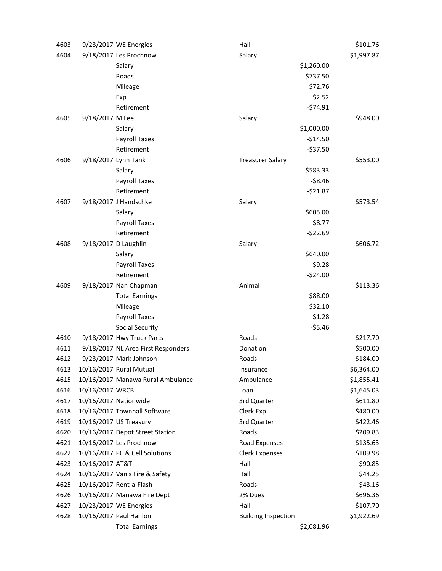| 4603 |                      | 9/23/2017 WE Energies              | Hall                       |            | \$101.76   |
|------|----------------------|------------------------------------|----------------------------|------------|------------|
| 4604 |                      | 9/18/2017 Les Prochnow             | Salary                     |            | \$1,997.87 |
|      |                      | Salary                             |                            | \$1,260.00 |            |
|      |                      | Roads                              |                            | \$737.50   |            |
|      |                      | Mileage                            |                            | \$72.76    |            |
|      |                      | Exp                                |                            | \$2.52     |            |
|      |                      | Retirement                         |                            | $-574.91$  |            |
| 4605 | 9/18/2017 M Lee      |                                    | Salary                     |            | \$948.00   |
|      |                      | Salary                             |                            | \$1,000.00 |            |
|      |                      | <b>Payroll Taxes</b>               |                            | $-514.50$  |            |
|      |                      | Retirement                         |                            | $-537.50$  |            |
| 4606 | 9/18/2017 Lynn Tank  |                                    | <b>Treasurer Salary</b>    |            | \$553.00   |
|      |                      | Salary                             |                            | \$583.33   |            |
|      |                      | Payroll Taxes                      |                            | $-58.46$   |            |
|      |                      | Retirement                         |                            | $-521.87$  |            |
| 4607 |                      | 9/18/2017 J Handschke              | Salary                     |            | \$573.54   |
|      |                      | Salary                             |                            | \$605.00   |            |
|      |                      | Payroll Taxes                      |                            | $-58.77$   |            |
|      |                      | Retirement                         |                            | $-522.69$  |            |
| 4608 | 9/18/2017 D Laughlin |                                    | Salary                     |            | \$606.72   |
|      |                      | Salary                             |                            | \$640.00   |            |
|      |                      | Payroll Taxes                      |                            | $-59.28$   |            |
|      |                      | Retirement                         |                            | $-524.00$  |            |
| 4609 |                      | 9/18/2017 Nan Chapman              | Animal                     |            | \$113.36   |
|      |                      | <b>Total Earnings</b>              |                            | \$88.00    |            |
|      |                      | Mileage                            |                            | \$32.10    |            |
|      |                      | Payroll Taxes                      |                            | $-51.28$   |            |
|      |                      | <b>Social Security</b>             |                            | $-55.46$   |            |
| 4610 |                      | 9/18/2017 Hwy Truck Parts          | Roads                      |            | \$217.70   |
| 4611 |                      | 9/18/2017 NL Area First Responders | Donation                   |            | \$500.00   |
| 4612 |                      | 9/23/2017 Mark Johnson             | Roads                      |            | \$184.00   |
| 4613 |                      | 10/16/2017 Rural Mutual            | Insurance                  |            | \$6,364.00 |
| 4615 |                      | 10/16/2017 Manawa Rural Ambulance  | Ambulance                  |            | \$1,855.41 |
| 4616 | 10/16/2017 WRCB      |                                    | Loan                       |            | \$1,645.03 |
| 4617 |                      | 10/16/2017 Nationwide              | 3rd Quarter                |            | \$611.80   |
| 4618 |                      | 10/16/2017 Townhall Software       | Clerk Exp                  |            | \$480.00   |
| 4619 |                      | 10/16/2017 US Treasury             | 3rd Quarter                |            | \$422.46   |
| 4620 |                      | 10/16/2017 Depot Street Station    | Roads                      |            | \$209.83   |
| 4621 |                      | 10/16/2017 Les Prochnow            | Road Expenses              |            | \$135.63   |
| 4622 |                      | 10/16/2017 PC & Cell Solutions     | <b>Clerk Expenses</b>      |            | \$109.98   |
| 4623 | 10/16/2017 AT&T      |                                    | Hall                       |            | \$90.85    |
| 4624 |                      | 10/16/2017 Van's Fire & Safety     | Hall                       |            | \$44.25    |
| 4625 |                      | 10/16/2017 Rent-a-Flash            | Roads                      |            | \$43.16    |
| 4626 |                      | 10/16/2017 Manawa Fire Dept        | 2% Dues                    |            | \$696.36   |
| 4627 |                      | 10/23/2017 WE Energies             | Hall                       |            | \$107.70   |
| 4628 |                      | 10/16/2017 Paul Hanlon             | <b>Building Inspection</b> |            | \$1,922.69 |
|      |                      | <b>Total Earnings</b>              |                            | \$2,081.96 |            |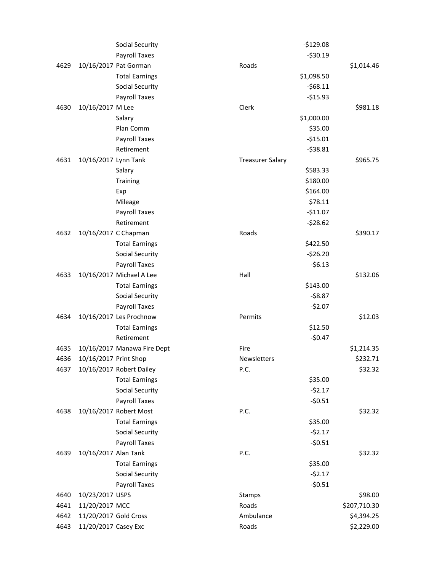|      |                       | <b>Social Security</b>      |                         | $-5129.08$ |              |
|------|-----------------------|-----------------------------|-------------------------|------------|--------------|
|      |                       | <b>Payroll Taxes</b>        |                         | $-530.19$  |              |
| 4629 |                       | 10/16/2017 Pat Gorman       | Roads                   |            | \$1,014.46   |
|      |                       | <b>Total Earnings</b>       |                         | \$1,098.50 |              |
|      |                       | <b>Social Security</b>      |                         | $-568.11$  |              |
|      |                       | <b>Payroll Taxes</b>        |                         | $-$15.93$  |              |
| 4630 | 10/16/2017 M Lee      |                             | Clerk                   |            | \$981.18     |
|      |                       | Salary                      |                         | \$1,000.00 |              |
|      |                       | Plan Comm                   |                         | \$35.00    |              |
|      |                       | <b>Payroll Taxes</b>        |                         | $-515.01$  |              |
|      |                       | Retirement                  |                         | $-538.81$  |              |
| 4631 | 10/16/2017 Lynn Tank  |                             | <b>Treasurer Salary</b> |            | \$965.75     |
|      |                       | Salary                      |                         | \$583.33   |              |
|      |                       | Training                    |                         | \$180.00   |              |
|      |                       | Exp                         |                         | \$164.00   |              |
|      |                       | Mileage                     |                         | \$78.11    |              |
|      |                       | Payroll Taxes               |                         | $-511.07$  |              |
|      |                       | Retirement                  |                         | $-528.62$  |              |
| 4632 |                       | 10/16/2017 C Chapman        | Roads                   |            | \$390.17     |
|      |                       | <b>Total Earnings</b>       |                         | \$422.50   |              |
|      |                       | <b>Social Security</b>      |                         | $-526.20$  |              |
|      |                       | Payroll Taxes               |                         | $-56.13$   |              |
| 4633 |                       | 10/16/2017 Michael A Lee    | Hall                    |            | \$132.06     |
|      |                       | <b>Total Earnings</b>       |                         | \$143.00   |              |
|      |                       | <b>Social Security</b>      |                         | $-58.87$   |              |
|      |                       | Payroll Taxes               |                         | $-52.07$   |              |
| 4634 |                       | 10/16/2017 Les Prochnow     | Permits                 |            | \$12.03      |
|      |                       | <b>Total Earnings</b>       |                         | \$12.50    |              |
|      |                       | Retirement                  |                         | $-50.47$   |              |
| 4635 |                       | 10/16/2017 Manawa Fire Dept | Fire                    |            | \$1,214.35   |
| 4636 | 10/16/2017 Print Shop |                             | <b>Newsletters</b>      |            | \$232.71     |
| 4637 |                       | 10/16/2017 Robert Dailey    | P.C.                    |            | \$32.32      |
|      |                       | <b>Total Earnings</b>       |                         | \$35.00    |              |
|      |                       | <b>Social Security</b>      |                         | $-52.17$   |              |
|      |                       | Payroll Taxes               |                         | $-50.51$   |              |
| 4638 |                       | 10/16/2017 Robert Most      | P.C.                    |            | \$32.32      |
|      |                       | <b>Total Earnings</b>       |                         | \$35.00    |              |
|      |                       | <b>Social Security</b>      |                         | $-52.17$   |              |
|      |                       | Payroll Taxes               |                         | $-50.51$   |              |
| 4639 | 10/16/2017 Alan Tank  |                             | P.C.                    |            | \$32.32      |
|      |                       | <b>Total Earnings</b>       |                         | \$35.00    |              |
|      |                       | <b>Social Security</b>      |                         | $-52.17$   |              |
|      |                       | Payroll Taxes               |                         | $-50.51$   |              |
| 4640 | 10/23/2017 USPS       |                             | Stamps                  |            | \$98.00      |
| 4641 | 11/20/2017 MCC        |                             | Roads                   |            | \$207,710.30 |
| 4642 | 11/20/2017 Gold Cross |                             | Ambulance               |            | \$4,394.25   |
| 4643 | 11/20/2017 Casey Exc  |                             | Roads                   |            | \$2,229.00   |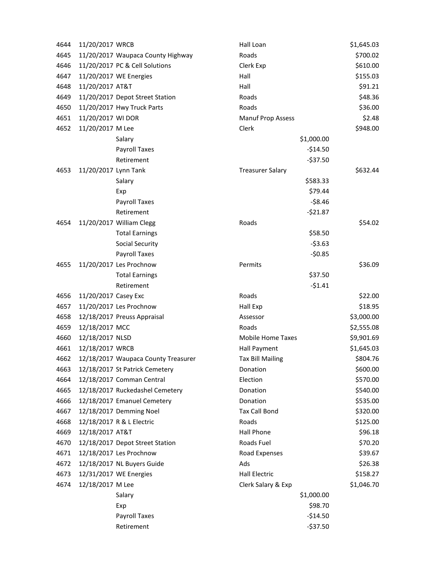| 4644 | 11/20/2017 WRCB      |                                     | Hall Loan                |             | \$1,645.03 |
|------|----------------------|-------------------------------------|--------------------------|-------------|------------|
| 4645 |                      | 11/20/2017 Waupaca County Highway   | Roads                    |             | \$700.02   |
| 4646 |                      | 11/20/2017 PC & Cell Solutions      | Clerk Exp                |             | \$610.00   |
| 4647 |                      | 11/20/2017 WE Energies              | Hall                     |             | \$155.03   |
| 4648 | 11/20/2017 AT&T      |                                     | Hall                     |             | \$91.21    |
| 4649 |                      | 11/20/2017 Depot Street Station     | Roads                    |             | \$48.36    |
| 4650 |                      | 11/20/2017 Hwy Truck Parts          | Roads                    |             | \$36.00    |
| 4651 | 11/20/2017 WI DOR    |                                     | <b>Manuf Prop Assess</b> |             | \$2.48     |
| 4652 | 11/20/2017 M Lee     |                                     | Clerk                    |             | \$948.00   |
|      |                      | Salary                              |                          | \$1,000.00  |            |
|      |                      | Payroll Taxes                       |                          | $-514.50$   |            |
|      |                      | Retirement                          |                          | $-537.50$   |            |
| 4653 | 11/20/2017 Lynn Tank |                                     | <b>Treasurer Salary</b>  |             | \$632.44   |
|      |                      | Salary                              |                          | \$583.33    |            |
|      |                      | Exp                                 |                          | \$79.44     |            |
|      |                      | Payroll Taxes                       |                          | $-58.46$    |            |
|      |                      | Retirement                          |                          | $-521.87$   |            |
| 4654 |                      | 11/20/2017 William Clegg            | Roads                    |             | \$54.02    |
|      |                      | <b>Total Earnings</b>               |                          | \$58.50     |            |
|      |                      | <b>Social Security</b>              |                          | $-53.63$    |            |
|      |                      | Payroll Taxes                       |                          | $-50.85$    |            |
| 4655 |                      | 11/20/2017 Les Prochnow             | Permits                  |             | \$36.09    |
|      |                      | <b>Total Earnings</b>               |                          | \$37.50     |            |
|      |                      | Retirement                          |                          | $-51.41$    |            |
| 4656 | 11/20/2017 Casey Exc |                                     | Roads                    |             | \$22.00    |
| 4657 |                      | 11/20/2017 Les Prochnow             | Hall Exp                 |             | \$18.95    |
| 4658 |                      | 12/18/2017 Preuss Appraisal         | Assessor                 |             | \$3,000.00 |
| 4659 | 12/18/2017 MCC       |                                     | Roads                    |             | \$2,555.08 |
| 4660 | 12/18/2017 NLSD      |                                     | <b>Mobile Home Taxes</b> |             | \$9,901.69 |
| 4661 | 12/18/2017 WRCB      |                                     | Hall Payment             |             | \$1,645.03 |
| 4662 |                      | 12/18/2017 Waupaca County Treasurer | <b>Tax Bill Mailing</b>  |             | \$804.76   |
| 4663 |                      | 12/18/2017 St Patrick Cemetery      | Donation                 |             | \$600.00   |
| 4664 |                      | 12/18/2017 Comman Central           | Election                 |             | \$570.00   |
| 4665 |                      | 12/18/2017 Ruckedashel Cemetery     | Donation                 |             | \$540.00   |
| 4666 |                      | 12/18/2017 Emanuel Cemetery         | Donation                 |             | \$535.00   |
| 4667 |                      | 12/18/2017 Demming Noel             | <b>Tax Call Bond</b>     |             | \$320.00   |
| 4668 |                      | 12/18/2017 R & L Electric           | Roads                    |             | \$125.00   |
| 4669 | 12/18/2017 AT&T      |                                     | Hall Phone               |             | \$96.18    |
| 4670 |                      | 12/18/2017 Depot Street Station     | Roads Fuel               |             | \$70.20    |
| 4671 |                      | 12/18/2017 Les Prochnow             | Road Expenses            |             | \$39.67    |
| 4672 |                      | 12/18/2017 NL Buyers Guide          | Ads                      |             | \$26.38    |
| 4673 |                      | 12/31/2017 WE Energies              | <b>Hall Electric</b>     |             | \$158.27   |
| 4674 | 12/18/2017 M Lee     |                                     | Clerk Salary & Exp       |             | \$1,046.70 |
|      |                      | Salary                              |                          | \$1,000.00  |            |
|      |                      | Exp                                 |                          | \$98.70     |            |
|      |                      | Payroll Taxes                       |                          | $-$14.50$   |            |
|      |                      | Retirement                          |                          | $-$ \$37.50 |            |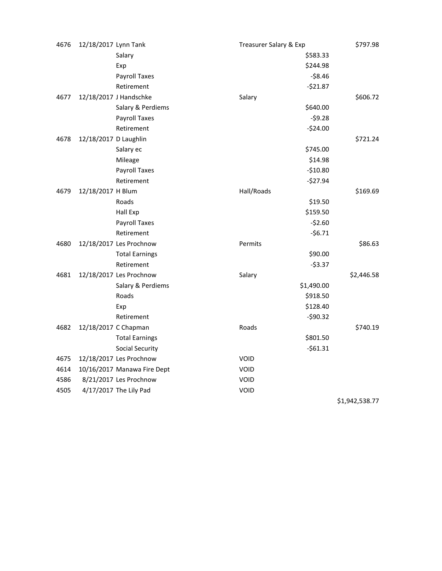| 4676 | 12/18/2017 Lynn Tank  |                             | Treasurer Salary & Exp | \$797.98       |
|------|-----------------------|-----------------------------|------------------------|----------------|
|      |                       | Salary                      | \$583.33               |                |
|      |                       | Exp                         | \$244.98               |                |
|      |                       | <b>Payroll Taxes</b>        | $-58.46$               |                |
|      |                       | Retirement                  | $-521.87$              |                |
| 4677 |                       | 12/18/2017 J Handschke      | Salary                 | \$606.72       |
|      |                       | Salary & Perdiems           | \$640.00               |                |
|      |                       | Payroll Taxes               | $-59.28$               |                |
|      |                       | Retirement                  | $-524.00$              |                |
| 4678 | 12/18/2017 D Laughlin |                             |                        | \$721.24       |
|      |                       | Salary ec                   | \$745.00               |                |
|      |                       | Mileage                     | \$14.98                |                |
|      |                       | Payroll Taxes               | $-510.80$              |                |
|      |                       | Retirement                  | $-527.94$              |                |
| 4679 | 12/18/2017 H Blum     |                             | Hall/Roads             | \$169.69       |
|      |                       | Roads                       | \$19.50                |                |
|      |                       | Hall Exp                    | \$159.50               |                |
|      |                       | Payroll Taxes               | $-52.60$               |                |
|      |                       | Retirement                  | $-56.71$               |                |
| 4680 |                       | 12/18/2017 Les Prochnow     | Permits                | \$86.63        |
|      |                       | <b>Total Earnings</b>       | \$90.00                |                |
|      |                       | Retirement                  | $-53.37$               |                |
| 4681 |                       | 12/18/2017 Les Prochnow     | Salary                 | \$2,446.58     |
|      |                       | Salary & Perdiems           | \$1,490.00             |                |
|      |                       | Roads                       | \$918.50               |                |
|      |                       | Exp                         | \$128.40               |                |
|      |                       | Retirement                  | $-590.32$              |                |
| 4682 | 12/18/2017 C Chapman  |                             | Roads                  | \$740.19       |
|      |                       | <b>Total Earnings</b>       | \$801.50               |                |
|      |                       | <b>Social Security</b>      | $-561.31$              |                |
| 4675 |                       | 12/18/2017 Les Prochnow     | <b>VOID</b>            |                |
| 4614 |                       | 10/16/2017 Manawa Fire Dept | VOID                   |                |
| 4586 |                       | 8/21/2017 Les Prochnow      | VOID                   |                |
| 4505 |                       | 4/17/2017 The Lily Pad      | VOID                   |                |
|      |                       |                             |                        | \$1,942,538.77 |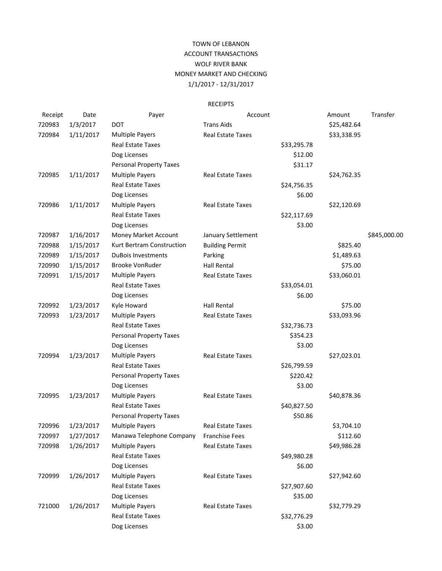## TOWN OF LEBANON ACCOUNT TRANSACTIONS WOLF RIVER BANK MONEY MARKET AND CHECKING 1/1/2017 - 12/31/2017

## RECEIPTS

| Receipt | Date      | Payer                          | Account                  |             | Amount      | Transfer     |
|---------|-----------|--------------------------------|--------------------------|-------------|-------------|--------------|
| 720983  | 1/3/2017  | <b>DOT</b>                     | <b>Trans Aids</b>        |             | \$25,482.64 |              |
| 720984  | 1/11/2017 | <b>Multiple Payers</b>         | Real Estate Taxes        |             | \$33,338.95 |              |
|         |           | <b>Real Estate Taxes</b>       |                          | \$33,295.78 |             |              |
|         |           | Dog Licenses                   |                          | \$12.00     |             |              |
|         |           | <b>Personal Property Taxes</b> |                          | \$31.17     |             |              |
| 720985  | 1/11/2017 | <b>Multiple Payers</b>         | <b>Real Estate Taxes</b> |             | \$24,762.35 |              |
|         |           | <b>Real Estate Taxes</b>       |                          | \$24,756.35 |             |              |
|         |           | Dog Licenses                   |                          | \$6.00      |             |              |
| 720986  | 1/11/2017 | <b>Multiple Payers</b>         | Real Estate Taxes        |             | \$22,120.69 |              |
|         |           | <b>Real Estate Taxes</b>       |                          | \$22,117.69 |             |              |
|         |           | Dog Licenses                   |                          | \$3.00      |             |              |
| 720987  | 1/16/2017 | Money Market Account           | January Settlement       |             |             | \$845,000.00 |
| 720988  | 1/15/2017 | Kurt Bertram Construction      | <b>Building Permit</b>   |             | \$825.40    |              |
| 720989  | 1/15/2017 | <b>DuBois Investments</b>      | Parking                  |             | \$1,489.63  |              |
| 720990  | 1/15/2017 | <b>Brooke VonRuder</b>         | <b>Hall Rental</b>       |             | \$75.00     |              |
| 720991  | 1/15/2017 | <b>Multiple Payers</b>         | Real Estate Taxes        |             | \$33,060.01 |              |
|         |           | <b>Real Estate Taxes</b>       |                          | \$33,054.01 |             |              |
|         |           | Dog Licenses                   |                          | \$6.00      |             |              |
| 720992  | 1/23/2017 | Kyle Howard                    | <b>Hall Rental</b>       |             | \$75.00     |              |
| 720993  | 1/23/2017 | <b>Multiple Payers</b>         | Real Estate Taxes        |             | \$33,093.96 |              |
|         |           | <b>Real Estate Taxes</b>       |                          | \$32,736.73 |             |              |
|         |           | <b>Personal Property Taxes</b> |                          | \$354.23    |             |              |
|         |           | Dog Licenses                   |                          | \$3.00      |             |              |
| 720994  | 1/23/2017 | <b>Multiple Payers</b>         | Real Estate Taxes        |             | \$27,023.01 |              |
|         |           | <b>Real Estate Taxes</b>       |                          | \$26,799.59 |             |              |
|         |           | <b>Personal Property Taxes</b> |                          | \$220.42    |             |              |
|         |           | Dog Licenses                   |                          | \$3.00      |             |              |
| 720995  | 1/23/2017 | <b>Multiple Payers</b>         | Real Estate Taxes        |             | \$40,878.36 |              |
|         |           | <b>Real Estate Taxes</b>       |                          | \$40,827.50 |             |              |
|         |           | <b>Personal Property Taxes</b> |                          | \$50.86     |             |              |
| 720996  | 1/23/2017 | <b>Multiple Payers</b>         | Real Estate Taxes        |             | \$3,704.10  |              |
| 720997  | 1/27/2017 | Manawa Telephone Company       | Franchise Fees           |             | \$112.60    |              |
| 720998  | 1/26/2017 | <b>Multiple Payers</b>         | <b>Real Estate Taxes</b> |             | \$49,986.28 |              |
|         |           | <b>Real Estate Taxes</b>       |                          | \$49,980.28 |             |              |
|         |           | Dog Licenses                   |                          | \$6.00      |             |              |
| 720999  | 1/26/2017 | <b>Multiple Payers</b>         | Real Estate Taxes        |             | \$27,942.60 |              |
|         |           | <b>Real Estate Taxes</b>       |                          | \$27,907.60 |             |              |
|         |           | Dog Licenses                   |                          | \$35.00     |             |              |
| 721000  | 1/26/2017 | <b>Multiple Payers</b>         | Real Estate Taxes        |             | \$32,779.29 |              |
|         |           | Real Estate Taxes              |                          | \$32,776.29 |             |              |
|         |           | Dog Licenses                   |                          | \$3.00      |             |              |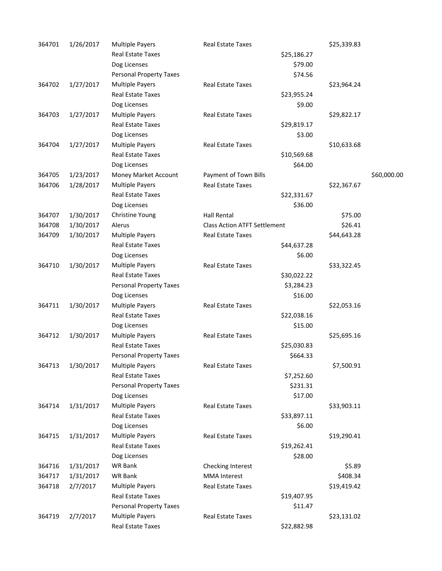| 364701 | 1/26/2017 | <b>Multiple Payers</b>         | <b>Real Estate Taxes</b>            | \$25,339.83 |             |
|--------|-----------|--------------------------------|-------------------------------------|-------------|-------------|
|        |           | Real Estate Taxes              | \$25,186.27                         |             |             |
|        |           | Dog Licenses                   | \$79.00                             |             |             |
|        |           | <b>Personal Property Taxes</b> | \$74.56                             |             |             |
| 364702 | 1/27/2017 | <b>Multiple Payers</b>         | <b>Real Estate Taxes</b>            | \$23,964.24 |             |
|        |           | Real Estate Taxes              | \$23,955.24                         |             |             |
|        |           | Dog Licenses                   | \$9.00                              |             |             |
| 364703 | 1/27/2017 | <b>Multiple Payers</b>         | Real Estate Taxes                   | \$29,822.17 |             |
|        |           | Real Estate Taxes              | \$29,819.17                         |             |             |
|        |           | Dog Licenses                   | \$3.00                              |             |             |
| 364704 | 1/27/2017 | <b>Multiple Payers</b>         | Real Estate Taxes                   | \$10,633.68 |             |
|        |           | Real Estate Taxes              | \$10,569.68                         |             |             |
|        |           | Dog Licenses                   | \$64.00                             |             |             |
| 364705 | 1/23/2017 | Money Market Account           | Payment of Town Bills               |             | \$60,000.00 |
| 364706 | 1/28/2017 | <b>Multiple Payers</b>         | Real Estate Taxes                   | \$22,367.67 |             |
|        |           | <b>Real Estate Taxes</b>       | \$22,331.67                         |             |             |
|        |           | Dog Licenses                   | \$36.00                             |             |             |
| 364707 | 1/30/2017 | Christine Young                | <b>Hall Rental</b>                  | \$75.00     |             |
| 364708 | 1/30/2017 | Alerus                         | <b>Class Action ATFT Settlement</b> | \$26.41     |             |
| 364709 | 1/30/2017 | Multiple Payers                | Real Estate Taxes                   | \$44,643.28 |             |
|        |           | <b>Real Estate Taxes</b>       | \$44,637.28                         |             |             |
|        |           | Dog Licenses                   | \$6.00                              |             |             |
| 364710 | 1/30/2017 | <b>Multiple Payers</b>         | Real Estate Taxes                   | \$33,322.45 |             |
|        |           | Real Estate Taxes              | \$30,022.22                         |             |             |
|        |           | <b>Personal Property Taxes</b> | \$3,284.23                          |             |             |
|        |           | Dog Licenses                   | \$16.00                             |             |             |
| 364711 | 1/30/2017 | <b>Multiple Payers</b>         | Real Estate Taxes                   | \$22,053.16 |             |
|        |           | <b>Real Estate Taxes</b>       | \$22,038.16                         |             |             |
|        |           | Dog Licenses                   | \$15.00                             |             |             |
| 364712 | 1/30/2017 | <b>Multiple Payers</b>         | Real Estate Taxes                   | \$25,695.16 |             |
|        |           | Real Estate Taxes              | \$25,030.83                         |             |             |
|        |           | <b>Personal Property Taxes</b> | \$664.33                            |             |             |
| 364713 | 1/30/2017 | <b>Multiple Payers</b>         | Real Estate Taxes                   | \$7,500.91  |             |
|        |           | Real Estate Taxes              | \$7,252.60                          |             |             |
|        |           | <b>Personal Property Taxes</b> | \$231.31                            |             |             |
|        |           | Dog Licenses                   | \$17.00                             |             |             |
| 364714 | 1/31/2017 | <b>Multiple Payers</b>         | Real Estate Taxes                   | \$33,903.11 |             |
|        |           | <b>Real Estate Taxes</b>       | \$33,897.11                         |             |             |
|        |           | Dog Licenses                   | \$6.00                              |             |             |
| 364715 | 1/31/2017 | <b>Multiple Payers</b>         | <b>Real Estate Taxes</b>            | \$19,290.41 |             |
|        |           | Real Estate Taxes              | \$19,262.41                         |             |             |
|        |           | Dog Licenses                   | \$28.00                             |             |             |
| 364716 | 1/31/2017 | <b>WR Bank</b>                 | Checking Interest                   | \$5.89      |             |
| 364717 | 1/31/2017 | WR Bank                        | <b>MMA</b> Interest                 | \$408.34    |             |
| 364718 | 2/7/2017  | <b>Multiple Payers</b>         | Real Estate Taxes                   | \$19,419.42 |             |
|        |           | Real Estate Taxes              | \$19,407.95                         |             |             |
|        |           | <b>Personal Property Taxes</b> | \$11.47                             |             |             |
| 364719 | 2/7/2017  | Multiple Payers                | Real Estate Taxes                   | \$23,131.02 |             |
|        |           | Real Estate Taxes              | \$22,882.98                         |             |             |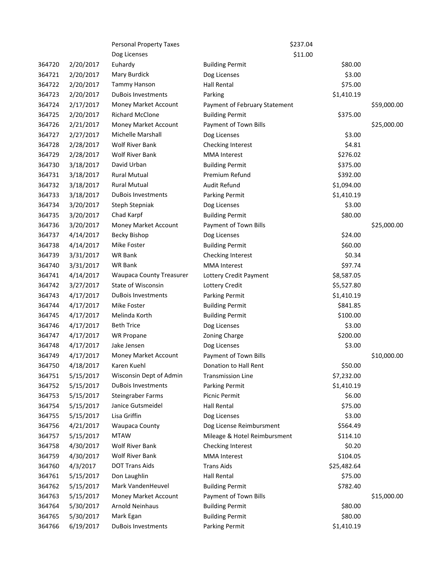|        |           | <b>Personal Property Taxes</b>  |                               | \$237.04    |             |
|--------|-----------|---------------------------------|-------------------------------|-------------|-------------|
|        |           | Dog Licenses                    |                               | \$11.00     |             |
| 364720 | 2/20/2017 | Euhardy                         | <b>Building Permit</b>        | \$80.00     |             |
| 364721 | 2/20/2017 | Mary Burdick                    | Dog Licenses                  | \$3.00      |             |
| 364722 | 2/20/2017 | Tammy Hanson                    | <b>Hall Rental</b>            | \$75.00     |             |
| 364723 | 2/20/2017 | <b>DuBois Investments</b>       | Parking                       | \$1,410.19  |             |
| 364724 | 2/17/2017 | Money Market Account            | Payment of February Statement |             | \$59,000.00 |
| 364725 | 2/20/2017 | <b>Richard McClone</b>          | <b>Building Permit</b>        | \$375.00    |             |
| 364726 | 2/21/2017 | Money Market Account            | Payment of Town Bills         |             | \$25,000.00 |
| 364727 | 2/27/2017 | <b>Michelle Marshall</b>        | Dog Licenses                  | \$3.00      |             |
| 364728 | 2/28/2017 | Wolf River Bank                 | Checking Interest             | \$4.81      |             |
| 364729 | 2/28/2017 | <b>Wolf River Bank</b>          | <b>MMA</b> Interest           | \$276.02    |             |
| 364730 | 3/18/2017 | David Urban                     | <b>Building Permit</b>        | \$375.00    |             |
| 364731 | 3/18/2017 | <b>Rural Mutual</b>             | Premium Refund                | \$392.00    |             |
| 364732 | 3/18/2017 | <b>Rural Mutual</b>             | Audit Refund                  | \$1,094.00  |             |
| 364733 | 3/18/2017 | <b>DuBois Investments</b>       | Parking Permit                | \$1,410.19  |             |
| 364734 | 3/20/2017 | Steph Stepniak                  | Dog Licenses                  | \$3.00      |             |
| 364735 | 3/20/2017 | Chad Karpf                      | <b>Building Permit</b>        | \$80.00     |             |
| 364736 | 3/20/2017 | Money Market Account            | Payment of Town Bills         |             | \$25,000.00 |
| 364737 | 4/14/2017 | Becky Bishop                    | Dog Licenses                  | \$24.00     |             |
| 364738 | 4/14/2017 | Mike Foster                     | <b>Building Permit</b>        | \$60.00     |             |
| 364739 | 3/31/2017 | WR Bank                         | Checking Interest             | \$0.34      |             |
| 364740 | 3/31/2017 | WR Bank                         | <b>MMA</b> Interest           | \$97.74     |             |
| 364741 | 4/14/2017 | <b>Waupaca County Treasurer</b> | Lottery Credit Payment        | \$8,587.05  |             |
| 364742 | 3/27/2017 | State of Wisconsin              | Lottery Credit                | \$5,527.80  |             |
| 364743 | 4/17/2017 | <b>DuBois Investments</b>       | Parking Permit                | \$1,410.19  |             |
| 364744 | 4/17/2017 | Mike Foster                     | <b>Building Permit</b>        | \$841.85    |             |
| 364745 | 4/17/2017 | Melinda Korth                   | <b>Building Permit</b>        | \$100.00    |             |
| 364746 | 4/17/2017 | <b>Beth Trice</b>               | Dog Licenses                  | \$3.00      |             |
| 364747 | 4/17/2017 | <b>WR Propane</b>               | Zoning Charge                 | \$200.00    |             |
| 364748 | 4/17/2017 | Jake Jensen                     | Dog Licenses                  | \$3.00      |             |
| 364749 | 4/17/2017 | Money Market Account            | Payment of Town Bills         |             | \$10,000.00 |
| 364750 | 4/18/2017 | Karen Kuehl                     | Donation to Hall Rent         | \$50.00     |             |
| 364751 | 5/15/2017 | Wisconsin Dept of Admin         | <b>Transmission Line</b>      | \$7,232.00  |             |
| 364752 | 5/15/2017 | <b>DuBois Investments</b>       | Parking Permit                | \$1,410.19  |             |
| 364753 | 5/15/2017 | Steingraber Farms               | Picnic Permit                 | \$6.00      |             |
| 364754 | 5/15/2017 | Janice Gutsmeidel               | <b>Hall Rental</b>            | \$75.00     |             |
| 364755 | 5/15/2017 | Lisa Griffin                    | Dog Licenses                  | \$3.00      |             |
| 364756 | 4/21/2017 | <b>Waupaca County</b>           | Dog License Reimbursment      | \$564.49    |             |
| 364757 | 5/15/2017 | <b>MTAW</b>                     | Mileage & Hotel Reimbursment  | \$114.10    |             |
| 364758 | 4/30/2017 | <b>Wolf River Bank</b>          | Checking Interest             | \$0.20      |             |
| 364759 | 4/30/2017 | Wolf River Bank                 | <b>MMA</b> Interest           | \$104.05    |             |
| 364760 | 4/3/2017  | <b>DOT Trans Aids</b>           | <b>Trans Aids</b>             | \$25,482.64 |             |
| 364761 | 5/15/2017 | Don Laughlin                    | <b>Hall Rental</b>            | \$75.00     |             |
| 364762 | 5/15/2017 | Mark VandenHeuvel               | <b>Building Permit</b>        | \$782.40    |             |
| 364763 | 5/15/2017 | Money Market Account            | Payment of Town Bills         |             | \$15,000.00 |
| 364764 | 5/30/2017 | Arnold Neinhaus                 | <b>Building Permit</b>        | \$80.00     |             |
| 364765 | 5/30/2017 | Mark Egan                       | <b>Building Permit</b>        | \$80.00     |             |
| 364766 | 6/19/2017 | DuBois Investments              | Parking Permit                | \$1,410.19  |             |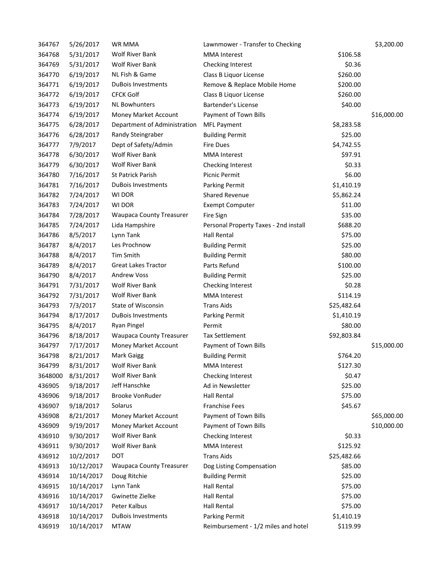| 364767  | 5/26/2017  | WR MMA                          | Lawnmower - Transfer to Checking      |             | \$3,200.00  |
|---------|------------|---------------------------------|---------------------------------------|-------------|-------------|
| 364768  | 5/31/2017  | Wolf River Bank                 | <b>MMA</b> Interest                   | \$106.58    |             |
| 364769  | 5/31/2017  | <b>Wolf River Bank</b>          | Checking Interest                     | \$0.36      |             |
| 364770  | 6/19/2017  | NL Fish & Game                  | Class B Liquor License                | \$260.00    |             |
| 364771  | 6/19/2017  | <b>DuBois Investments</b>       | Remove & Replace Mobile Home          | \$200.00    |             |
| 364772  | 6/19/2017  | <b>CFCK Golf</b>                | Class B Liquor License                | \$260.00    |             |
| 364773  | 6/19/2017  | <b>NL Bowhunters</b>            | Bartender's License                   | \$40.00     |             |
| 364774  | 6/19/2017  | Money Market Account            | Payment of Town Bills                 |             | \$16,000.00 |
| 364775  | 6/28/2017  | Department of Administration    | <b>MFL Payment</b>                    | \$8,283.58  |             |
| 364776  | 6/28/2017  | Randy Steingraber               | <b>Building Permit</b>                | \$25.00     |             |
| 364777  | 7/9/2017   | Dept of Safety/Admin            | <b>Fire Dues</b>                      | \$4,742.55  |             |
| 364778  | 6/30/2017  | Wolf River Bank                 | <b>MMA</b> Interest                   | \$97.91     |             |
| 364779  | 6/30/2017  | <b>Wolf River Bank</b>          | Checking Interest                     | \$0.33      |             |
| 364780  | 7/16/2017  | St Patrick Parish               | Picnic Permit                         | \$6.00      |             |
| 364781  | 7/16/2017  | <b>DuBois Investments</b>       | Parking Permit                        | \$1,410.19  |             |
| 364782  | 7/24/2017  | WI DOR                          | <b>Shared Revenue</b>                 | \$5,862.24  |             |
| 364783  | 7/24/2017  | WI DOR                          | <b>Exempt Computer</b>                | \$11.00     |             |
| 364784  | 7/28/2017  | <b>Waupaca County Treasurer</b> | Fire Sign                             | \$35.00     |             |
| 364785  | 7/24/2017  | Lida Hampshire                  | Personal Property Taxes - 2nd install | \$688.20    |             |
| 364786  | 8/5/2017   | Lynn Tank                       | <b>Hall Rental</b>                    | \$75.00     |             |
| 364787  | 8/4/2017   | Les Prochnow                    | <b>Building Permit</b>                | \$25.00     |             |
| 364788  | 8/4/2017   | Tim Smith                       | <b>Building Permit</b>                | \$80.00     |             |
| 364789  | 8/4/2017   | <b>Great Lakes Tractor</b>      | Parts Refund                          | \$100.00    |             |
| 364790  | 8/4/2017   | <b>Andrew Voss</b>              | <b>Building Permit</b>                | \$25.00     |             |
| 364791  | 7/31/2017  | Wolf River Bank                 | Checking Interest                     | \$0.28      |             |
| 364792  | 7/31/2017  | <b>Wolf River Bank</b>          | <b>MMA</b> Interest                   | \$114.19    |             |
| 364793  | 7/3/2017   | State of Wisconsin              | <b>Trans Aids</b>                     | \$25,482.64 |             |
| 364794  | 8/17/2017  | <b>DuBois Investments</b>       | Parking Permit                        | \$1,410.19  |             |
| 364795  | 8/4/2017   | <b>Ryan Pingel</b>              | Permit                                | \$80.00     |             |
| 364796  | 8/18/2017  | <b>Waupaca County Treasurer</b> | <b>Tax Settlement</b>                 | \$92,803.84 |             |
| 364797  | 7/17/2017  | Money Market Account            | Payment of Town Bills                 |             | \$15,000.00 |
| 364798  | 8/21/2017  | <b>Mark Gaigg</b>               | <b>Building Permit</b>                | \$764.20    |             |
| 364799  | 8/31/2017  | Wolf River Bank                 | <b>MMA</b> Interest                   | \$127.30    |             |
| 3648000 | 8/31/2017  | Wolf River Bank                 | Checking Interest                     | \$0.47      |             |
| 436905  | 9/18/2017  | Jeff Hanschke                   | Ad in Newsletter                      | \$25.00     |             |
| 436906  | 9/18/2017  | Brooke VonRuder                 | <b>Hall Rental</b>                    | \$75.00     |             |
| 436907  | 9/18/2017  | Solarus                         | <b>Franchise Fees</b>                 | \$45.67     |             |
| 436908  | 8/21/2017  | Money Market Account            | Payment of Town Bills                 |             | \$65,000.00 |
| 436909  | 9/19/2017  | Money Market Account            | Payment of Town Bills                 |             | \$10,000.00 |
| 436910  | 9/30/2017  | <b>Wolf River Bank</b>          | Checking Interest                     | \$0.33      |             |
| 436911  | 9/30/2017  | <b>Wolf River Bank</b>          | <b>MMA</b> Interest                   | \$125.92    |             |
| 436912  | 10/2/2017  | <b>DOT</b>                      | <b>Trans Aids</b>                     | \$25,482.66 |             |
| 436913  | 10/12/2017 | <b>Waupaca County Treasurer</b> | Dog Listing Compensation              | \$85.00     |             |
| 436914  | 10/14/2017 | Doug Ritchie                    | <b>Building Permit</b>                | \$25.00     |             |
| 436915  | 10/14/2017 | Lynn Tank                       | Hall Rental                           | \$75.00     |             |
| 436916  | 10/14/2017 | Gwinette Zielke                 | <b>Hall Rental</b>                    | \$75.00     |             |
| 436917  | 10/14/2017 | Peter Kalbus                    | <b>Hall Rental</b>                    | \$75.00     |             |
| 436918  | 10/14/2017 | <b>DuBois Investments</b>       | Parking Permit                        | \$1,410.19  |             |
| 436919  | 10/14/2017 | <b>MTAW</b>                     | Reimbursement - 1/2 miles and hotel   | \$119.99    |             |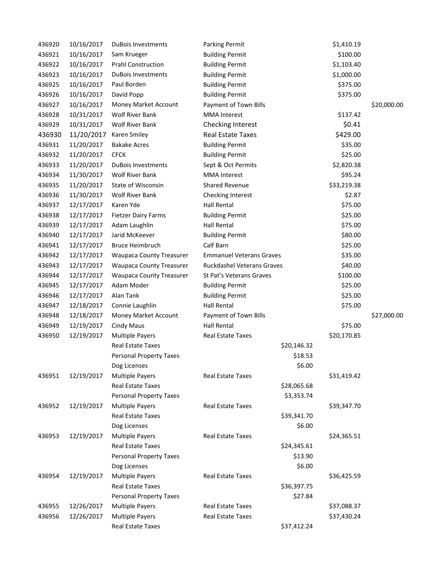| 436920 | 10/16/2017 | <b>DuBois Investments</b>       | Parking Permit                    | \$1,410.19  |             |
|--------|------------|---------------------------------|-----------------------------------|-------------|-------------|
| 436921 | 10/16/2017 | Sam Krueger                     | <b>Building Permit</b>            | \$100.00    |             |
| 436922 | 10/16/2017 | <b>Prahl Construction</b>       | <b>Building Permit</b>            | \$1,103.40  |             |
| 436923 | 10/16/2017 | <b>DuBois Investments</b>       | <b>Building Permit</b>            | \$1,000.00  |             |
| 436925 | 10/16/2017 | Paul Borden                     | <b>Building Permit</b>            | \$375.00    |             |
| 436926 | 10/16/2017 | David Popp                      | <b>Building Permit</b>            | \$375.00    |             |
| 436927 | 10/16/2017 | Money Market Account            | Payment of Town Bills             |             | \$20,000.00 |
| 436928 | 10/31/2017 | <b>Wolf River Bank</b>          | <b>MMA</b> Interest               | \$137.42    |             |
| 436929 | 10/31/2017 | <b>Wolf River Bank</b>          | Checking Interest                 | \$0.41      |             |
| 436930 | 11/20/2017 | Karen Smiley                    | <b>Real Estate Taxes</b>          | \$429.00    |             |
| 436931 | 11/20/2017 | <b>Bakake Acres</b>             | <b>Building Permit</b>            | \$35.00     |             |
| 436932 | 11/20/2017 | <b>CFCK</b>                     | <b>Building Permit</b>            | \$25.00     |             |
| 436933 | 11/20/2017 | <b>DuBois Investments</b>       | Sept & Oct Permits                | \$2,820.38  |             |
| 436934 | 11/30/2017 | <b>Wolf River Bank</b>          | <b>MMA</b> Interest               | \$95.24     |             |
| 436935 | 11/20/2017 | <b>State of Wisconsin</b>       | <b>Shared Revenue</b>             | \$33,219.38 |             |
| 436936 | 11/30/2017 | Wolf River Bank                 | Checking Interest                 | \$2.87      |             |
| 436937 | 12/17/2017 | Karen Yde                       | <b>Hall Rental</b>                | \$75.00     |             |
| 436938 | 12/17/2017 | <b>Fietzer Dairy Farms</b>      | <b>Building Permit</b>            | \$25.00     |             |
| 436939 | 12/17/2017 | Adam Laughlin                   | <b>Hall Rental</b>                | \$75.00     |             |
| 436940 | 12/17/2017 | Jarid McKeever                  | <b>Building Permit</b>            | \$80.00     |             |
| 436941 | 12/17/2017 | <b>Bruce Heimbruch</b>          | Calf Barn                         | \$25.00     |             |
| 436942 | 12/17/2017 | <b>Waupaca County Treasurer</b> | <b>Emmanuel Veterans Graves</b>   | \$35.00     |             |
| 436943 | 12/17/2017 | <b>Waupaca County Treasurer</b> | <b>Ruckdashel Veterans Graves</b> | \$40.00     |             |
| 436944 | 12/17/2017 | <b>Waupaca County Treasurer</b> | St Pat's Veterans Graves          | \$100.00    |             |
| 436945 | 12/17/2017 | Adam Moder                      | <b>Building Permit</b>            | \$25.00     |             |
| 436946 | 12/17/2017 | Alan Tank                       | <b>Building Permit</b>            | \$25.00     |             |
| 436947 | 12/18/2017 | Connie Laughlin                 | <b>Hall Rental</b>                | \$75.00     |             |
| 436948 | 12/18/2017 | Money Market Account            | Payment of Town Bills             |             | \$27,000.00 |
| 436949 | 12/19/2017 | <b>Cindy Maus</b>               | <b>Hall Rental</b>                | \$75.00     |             |
| 436950 | 12/19/2017 | <b>Multiple Payers</b>          | Real Estate Taxes                 | \$20,170.85 |             |
|        |            | Real Estate Taxes               | \$20,146.32                       |             |             |
|        |            | <b>Personal Property Taxes</b>  | \$18.53                           |             |             |
|        |            | Dog Licenses                    | \$6.00                            |             |             |
| 436951 | 12/19/2017 | <b>Multiple Payers</b>          | Real Estate Taxes                 | \$31,419.42 |             |
|        |            | Real Estate Taxes               | \$28,065.68                       |             |             |
|        |            | <b>Personal Property Taxes</b>  | \$3,353.74                        |             |             |
| 436952 | 12/19/2017 | <b>Multiple Payers</b>          | Real Estate Taxes                 | \$39,347.70 |             |
|        |            | Real Estate Taxes               | \$39,341.70                       |             |             |
|        |            | Dog Licenses                    | \$6.00                            |             |             |
| 436953 | 12/19/2017 | <b>Multiple Payers</b>          | Real Estate Taxes                 | \$24,365.51 |             |
|        |            | <b>Real Estate Taxes</b>        | \$24,345.61                       |             |             |
|        |            | <b>Personal Property Taxes</b>  | \$13.90                           |             |             |
|        |            | Dog Licenses                    | \$6.00                            |             |             |
| 436954 | 12/19/2017 | <b>Multiple Payers</b>          | Real Estate Taxes                 | \$36,425.59 |             |
|        |            | <b>Real Estate Taxes</b>        | \$36,397.75                       |             |             |
|        |            | Personal Property Taxes         | \$27.84                           |             |             |
| 436955 | 12/26/2017 | <b>Multiple Payers</b>          | Real Estate Taxes                 | \$37,088.37 |             |
| 436956 | 12/26/2017 | <b>Multiple Payers</b>          | Real Estate Taxes                 | \$37,430.24 |             |
|        |            | Real Estate Taxes               | \$37,412.24                       |             |             |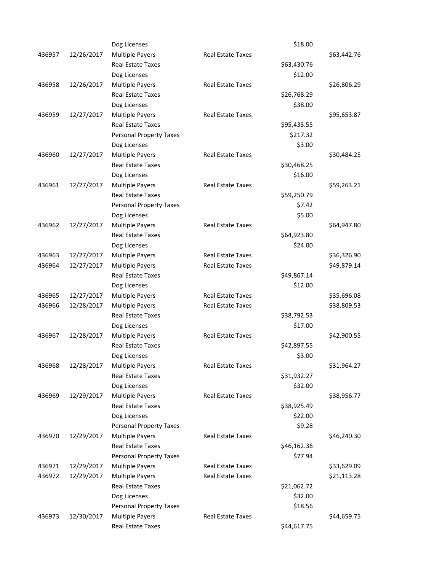|        |            | Dog Licenses                   |                          | \$18.00     |             |
|--------|------------|--------------------------------|--------------------------|-------------|-------------|
| 436957 | 12/26/2017 | <b>Multiple Payers</b>         | Real Estate Taxes        |             | \$63,442.76 |
|        |            | <b>Real Estate Taxes</b>       |                          | \$63,430.76 |             |
|        |            | Dog Licenses                   |                          | \$12.00     |             |
| 436958 | 12/26/2017 | <b>Multiple Payers</b>         | <b>Real Estate Taxes</b> |             | \$26,806.29 |
|        |            | <b>Real Estate Taxes</b>       |                          | \$26,768.29 |             |
|        |            | Dog Licenses                   |                          | \$38.00     |             |
| 436959 | 12/27/2017 | <b>Multiple Payers</b>         | Real Estate Taxes        |             | \$95,653.87 |
|        |            | <b>Real Estate Taxes</b>       |                          | \$95,433.55 |             |
|        |            | <b>Personal Property Taxes</b> |                          | \$217.32    |             |
|        |            | Dog Licenses                   |                          | \$3.00      |             |
| 436960 | 12/27/2017 | <b>Multiple Payers</b>         | <b>Real Estate Taxes</b> |             | \$30,484.25 |
|        |            | <b>Real Estate Taxes</b>       |                          | \$30,468.25 |             |
|        |            | Dog Licenses                   |                          | \$16.00     |             |
| 436961 | 12/27/2017 | <b>Multiple Payers</b>         | Real Estate Taxes        |             | \$59,263.21 |
|        |            | <b>Real Estate Taxes</b>       |                          | \$59,250.79 |             |
|        |            | <b>Personal Property Taxes</b> |                          | \$7.42      |             |
|        |            | Dog Licenses                   |                          | \$5.00      |             |
| 436962 | 12/27/2017 | <b>Multiple Payers</b>         | <b>Real Estate Taxes</b> |             | \$64,947.80 |
|        |            | Real Estate Taxes              |                          | \$64,923.80 |             |
|        |            | Dog Licenses                   |                          | \$24.00     |             |
| 436963 | 12/27/2017 | <b>Multiple Payers</b>         | <b>Real Estate Taxes</b> |             | \$36,326.90 |
| 436964 | 12/27/2017 | <b>Multiple Payers</b>         | Real Estate Taxes        |             | \$49,879.14 |
|        |            | <b>Real Estate Taxes</b>       |                          | \$49,867.14 |             |
|        |            | Dog Licenses                   |                          | \$12.00     |             |
| 436965 | 12/27/2017 | <b>Multiple Payers</b>         | <b>Real Estate Taxes</b> |             | \$35,696.08 |
| 436966 | 12/28/2017 | <b>Multiple Payers</b>         | Real Estate Taxes        |             | \$38,809.53 |
|        |            | <b>Real Estate Taxes</b>       |                          | \$38,792.53 |             |
|        |            | Dog Licenses                   |                          | \$17.00     |             |
| 436967 | 12/28/2017 | <b>Multiple Payers</b>         | Real Estate Taxes        |             | \$42,900.55 |
|        |            | Real Estate Taxes              |                          | \$42,897.55 |             |
|        |            | Dog Licenses                   |                          | \$3.00      |             |
| 436968 | 12/28/2017 | <b>Multiple Payers</b>         | Real Estate Taxes        |             | \$31,964.27 |
|        |            | Real Estate Taxes              |                          | \$31,932.27 |             |
|        |            | Dog Licenses                   |                          | \$32.00     |             |
| 436969 | 12/29/2017 | <b>Multiple Payers</b>         | Real Estate Taxes        |             | \$38,956.77 |
|        |            | Real Estate Taxes              |                          | \$38,925.49 |             |
|        |            | Dog Licenses                   |                          | \$22.00     |             |
|        |            | <b>Personal Property Taxes</b> |                          | \$9.28      |             |
| 436970 | 12/29/2017 | <b>Multiple Payers</b>         | Real Estate Taxes        |             | \$46,240.30 |
|        |            | Real Estate Taxes              |                          | \$46,162.36 |             |
|        |            | <b>Personal Property Taxes</b> |                          | \$77.94     |             |
| 436971 | 12/29/2017 | <b>Multiple Payers</b>         | Real Estate Taxes        |             | \$33,629.09 |
| 436972 | 12/29/2017 | <b>Multiple Payers</b>         | Real Estate Taxes        |             | \$21,113.28 |
|        |            | Real Estate Taxes              |                          | \$21,062.72 |             |
|        |            | Dog Licenses                   |                          | \$32.00     |             |
|        |            | <b>Personal Property Taxes</b> |                          | \$18.56     |             |
| 436973 | 12/30/2017 | <b>Multiple Payers</b>         | Real Estate Taxes        |             | \$44,659.75 |
|        |            | Real Estate Taxes              |                          | \$44,617.75 |             |